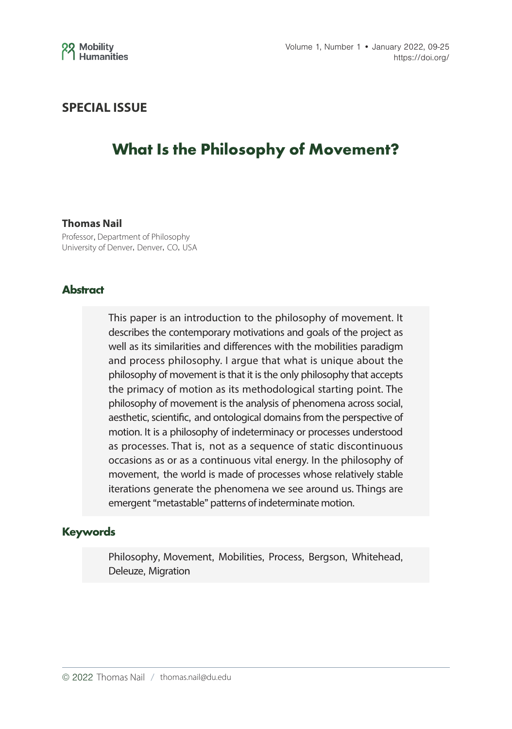

## **SPECIAL ISSUE**

# **What Is the Philosophy of Movement?**

#### **Thomas Nail**

Professor, Department of Philosophy University of Denver, Denver, CO, USA

#### **Abstract**

This paper is an introduction to the philosophy of movement. It describes the contemporary motivations and goals of the project as well as its similarities and differences with the mobilities paradigm and process philosophy. I argue that what is unique about the philosophy of movement is that it is the only philosophy that accepts the primacy of motion as its methodological starting point. The philosophy of movement is the analysis of phenomena across social, aesthetic, scientific, and ontological domains from the perspective of motion. It is a philosophy of indeterminacy or processes understood as processes. That is, not as a sequence of static discontinuous occasions as or as a continuous vital energy. In the philosophy of movement, the world is made of processes whose relatively stable iterations generate the phenomena we see around us. Things are emergent "metastable" patterns of indeterminate motion.

#### **Keywords**

Philosophy, Movement, Mobilities, Process, Bergson, Whitehead, Deleuze, Migration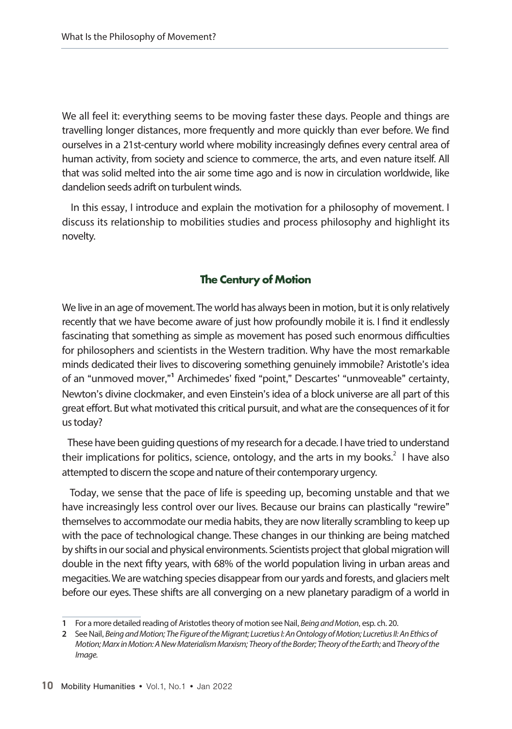We all feel it: everything seems to be moving faster these days. People and things are travelling longer distances, more frequently and more quickly than ever before. We find ourselves in a 21st-century world where mobility increasingly defines every central area of human activity, from society and science to commerce, the arts, and even nature itself. All that was solid melted into the air some time ago and is now in circulation worldwide, like dandelion seeds adrift on turbulent winds.

 In this essay, I introduce and explain the motivation for a philosophy of movement. I discuss its relationship to mobilities studies and process philosophy and highlight its novelty.

### **The Century of Motion**

We live in an age of movement. The world has always been in motion, but it is only relatively recently that we have become aware of just how profoundly mobile it is. I find it endlessly fascinating that something as simple as movement has posed such enormous difficulties for philosophers and scientists in the Western tradition. Why have the most remarkable minds dedicated their lives to discovering something genuinely immobile? Aristotle's idea of an "unmoved mover,"**<sup>1</sup>** Archimedes' fixed "point," Descartes' "unmoveable" certainty, Newton's divine clockmaker, and even Einstein's idea of a block universe are all part of this great effort. But what motivated this critical pursuit, and what are the consequences of it for us today?

 These have been guiding questions of my research for a decade. I have tried to understand their implications for politics, science, ontology, and the arts in my books.<sup>2</sup> I have also attempted to discern the scope and nature of their contemporary urgency.

Today, we sense that the pace of life is speeding up, becoming unstable and that we have increasingly less control over our lives. Because our brains can plastically "rewire" themselves to accommodate our media habits, they are now literally scrambling to keep up with the pace of technological change. These changes in our thinking are being matched by shifts in our social and physical environments. Scientists project that global migration will double in the next fifty years, with 68% of the world population living in urban areas and megacities. We are watching species disappear from our yards and forests, and glaciers melt before our eyes. These shifts are all converging on a new planetary paradigm of a world in

**<sup>1</sup>** For a more detailed reading of Aristotles theory of motion see Nail, *Being and Motion*, esp. ch. 20.

**<sup>2</sup>** See Nail, *Being and Motion; The Figure of the Migrant; Lucretius I: An Ontology of Motion; Lucretius II: An Ethics of Motion; Marx in Motion: A New Materialism Marxism; Theory of the Border; Theory of the Earth;* and *Theory of the Image.*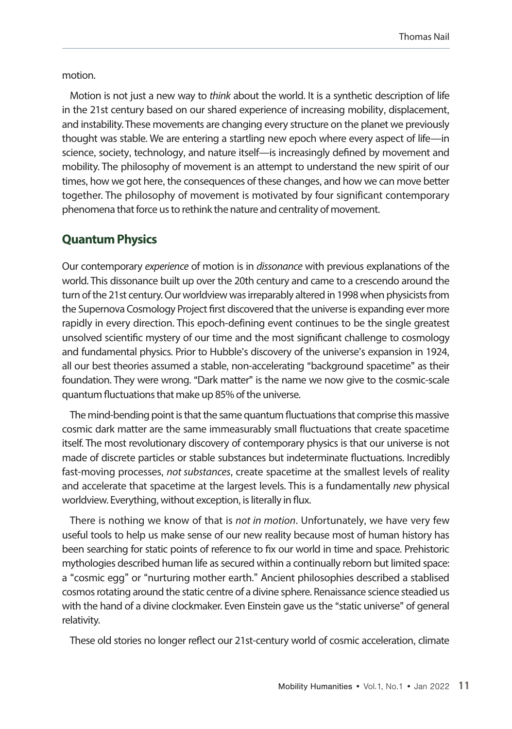motion.

Motion is not just a new way to *think* about the world. It is a synthetic description of life in the 21st century based on our shared experience of increasing mobility, displacement, and instability. These movements are changing every structure on the planet we previously thought was stable. We are entering a startling new epoch where every aspect of life—in science, society, technology, and nature itself—is increasingly defined by movement and mobility. The philosophy of movement is an attempt to understand the new spirit of our times, how we got here, the consequences of these changes, and how we can move better together. The philosophy of movement is motivated by four significant contemporary phenomena that force us to rethink the nature and centrality of movement.

## **Quantum Physics**

Our contemporary *experience* of motion is in *dissonance* with previous explanations of the world. This dissonance built up over the 20th century and came to a crescendo around the turn of the 21st century. Our worldview was irreparably altered in 1998 when physicists from the Supernova Cosmology Project first discovered that the universe is expanding ever more rapidly in every direction. This epoch-defining event continues to be the single greatest unsolved scientific mystery of our time and the most significant challenge to cosmology and fundamental physics. Prior to Hubble's discovery of the universe's expansion in 1924, all our best theories assumed a stable, non-accelerating "background spacetime" as their foundation. They were wrong. "Dark matter" is the name we now give to the cosmic-scale quantum fluctuations that make up 85% of the universe.

The mind-bending point is that the same quantum fluctuations that comprise this massive cosmic dark matter are the same immeasurably small fluctuations that create spacetime itself. The most revolutionary discovery of contemporary physics is that our universe is not made of discrete particles or stable substances but indeterminate fluctuations. Incredibly fast-moving processes, *not substances*, create spacetime at the smallest levels of reality and accelerate that spacetime at the largest levels. This is a fundamentally *new* physical worldview. Everything, without exception, is literally in flux.

There is nothing we know of that is *not in motion*. Unfortunately, we have very few useful tools to help us make sense of our new reality because most of human history has been searching for static points of reference to fix our world in time and space. Prehistoric mythologies described human life as secured within a continually reborn but limited space: a "cosmic egg" or "nurturing mother earth." Ancient philosophies described a stablised cosmos rotating around the static centre of a divine sphere. Renaissance science steadied us with the hand of a divine clockmaker. Even Einstein gave us the "static universe" of general relativity.

These old stories no longer reflect our 21st-century world of cosmic acceleration, climate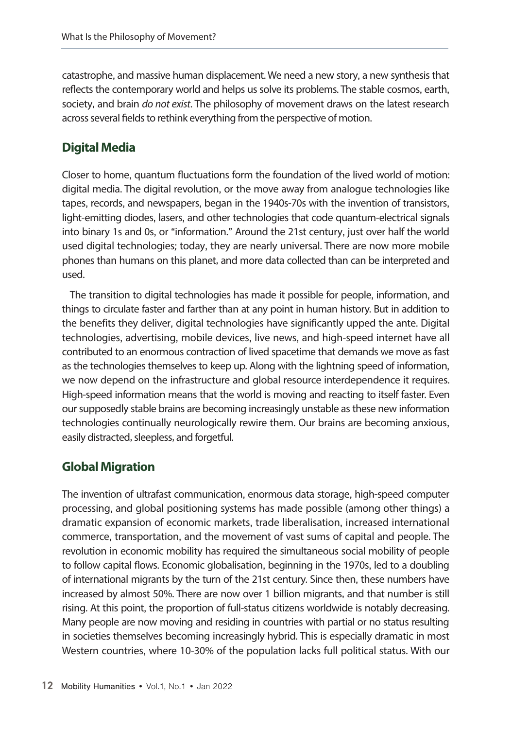catastrophe, and massive human displacement. We need a new story, a new synthesis that reflects the contemporary world and helps us solve its problems. The stable cosmos, earth, society, and brain *do not exist*. The philosophy of movement draws on the latest research across several fields to rethink everything from the perspective of motion.

# **Digital Media**

Closer to home, quantum fluctuations form the foundation of the lived world of motion: digital media. The digital revolution, or the move away from analogue technologies like tapes, records, and newspapers, began in the 1940s-70s with the invention of transistors, light-emitting diodes, lasers, and other technologies that code quantum-electrical signals into binary 1s and 0s, or "information." Around the 21st century, just over half the world used digital technologies; today, they are nearly universal. There are now more mobile phones than humans on this planet, and more data collected than can be interpreted and used.

The transition to digital technologies has made it possible for people, information, and things to circulate faster and farther than at any point in human history. But in addition to the benefits they deliver, digital technologies have significantly upped the ante. Digital technologies, advertising, mobile devices, live news, and high-speed internet have all contributed to an enormous contraction of lived spacetime that demands we move as fast as the technologies themselves to keep up. Along with the lightning speed of information, we now depend on the infrastructure and global resource interdependence it requires. High-speed information means that the world is moving and reacting to itself faster. Even our supposedly stable brains are becoming increasingly unstable as these new information technologies continually neurologically rewire them. Our brains are becoming anxious, easily distracted, sleepless, and forgetful.

# **Global Migration**

The invention of ultrafast communication, enormous data storage, high-speed computer processing, and global positioning systems has made possible (among other things) a dramatic expansion of economic markets, trade liberalisation, increased international commerce, transportation, and the movement of vast sums of capital and people. The revolution in economic mobility has required the simultaneous social mobility of people to follow capital flows. Economic globalisation, beginning in the 1970s, led to a doubling of international migrants by the turn of the 21st century. Since then, these numbers have increased by almost 50%. There are now over 1 billion migrants, and that number is still rising. At this point, the proportion of full-status citizens worldwide is notably decreasing. Many people are now moving and residing in countries with partial or no status resulting in societies themselves becoming increasingly hybrid. This is especially dramatic in most Western countries, where 10-30% of the population lacks full political status. With our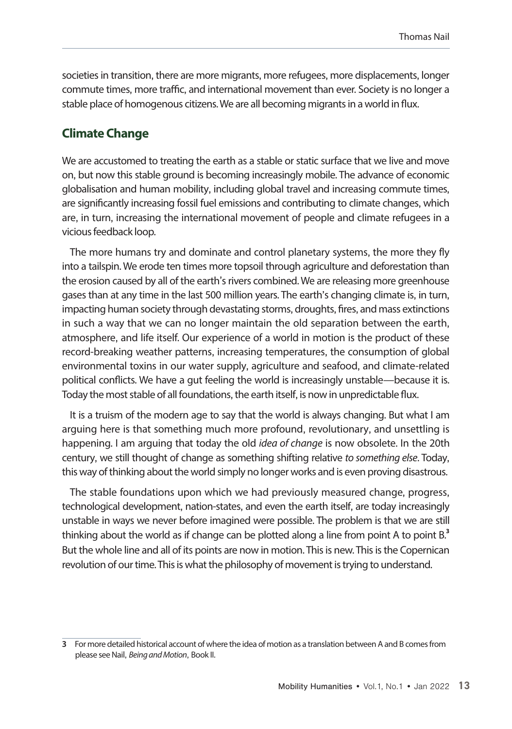societies in transition, there are more migrants, more refugees, more displacements, longer commute times, more traffic, and international movement than ever. Society is no longer a stable place of homogenous citizens. We are all becoming migrants in a world in flux.

### **Climate Change**

We are accustomed to treating the earth as a stable or static surface that we live and move on, but now this stable ground is becoming increasingly mobile. The advance of economic globalisation and human mobility, including global travel and increasing commute times, are significantly increasing fossil fuel emissions and contributing to climate changes, which are, in turn, increasing the international movement of people and climate refugees in a vicious feedback loop.

The more humans try and dominate and control planetary systems, the more they fly into a tailspin. We erode ten times more topsoil through agriculture and deforestation than the erosion caused by all of the earth's rivers combined. We are releasing more greenhouse gases than at any time in the last 500 million years. The earth's changing climate is, in turn, impacting human society through devastating storms, droughts, fires, and mass extinctions in such a way that we can no longer maintain the old separation between the earth, atmosphere, and life itself. Our experience of a world in motion is the product of these record-breaking weather patterns, increasing temperatures, the consumption of global environmental toxins in our water supply, agriculture and seafood, and climate-related political conflicts. We have a gut feeling the world is increasingly unstable—because it is. Today the most stable of all foundations, the earth itself, is now in unpredictable flux.

It is a truism of the modern age to say that the world is always changing. But what I am arguing here is that something much more profound, revolutionary, and unsettling is happening. I am arguing that today the old *idea of change* is now obsolete. In the 20th century, we still thought of change as something shifting relative *to something else*. Today, this way of thinking about the world simply no longer works and is even proving disastrous.

The stable foundations upon which we had previously measured change, progress, technological development, nation-states, and even the earth itself, are today increasingly unstable in ways we never before imagined were possible. The problem is that we are still thinking about the world as if change can be plotted along a line from point A to point B.**<sup>3</sup>** But the whole line and all of its points are now in motion. This is new. This is the Copernican revolution of our time. This is what the philosophy of movement is trying to understand.

**<sup>3</sup>** For more detailed historical account of where the idea of motion as a translation between A and B comes from please see Nail, *Being and Motion*, Book II.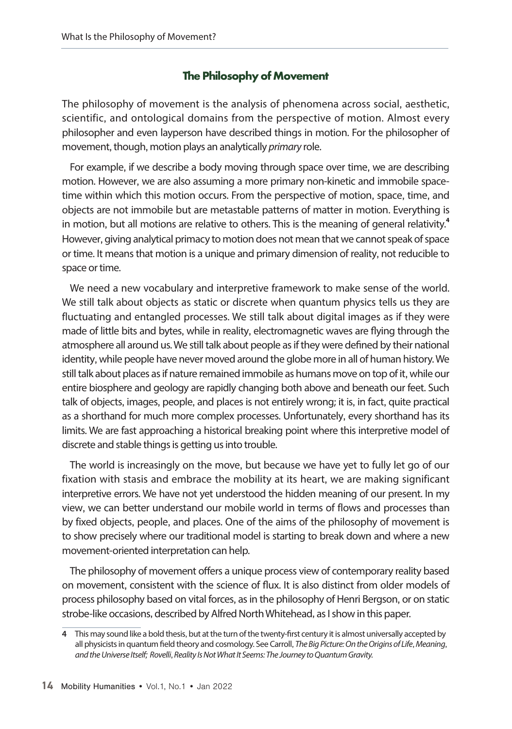## **The Philosophy of Movement**

The philosophy of movement is the analysis of phenomena across social, aesthetic, scientific, and ontological domains from the perspective of motion. Almost every philosopher and even layperson have described things in motion. For the philosopher of movement, though, motion plays an analytically *primary* role.

For example, if we describe a body moving through space over time, we are describing motion. However, we are also assuming a more primary non-kinetic and immobile spacetime within which this motion occurs. From the perspective of motion, space, time, and objects are not immobile but are metastable patterns of matter in motion. Everything is in motion, but all motions are relative to others. This is the meaning of general relativity.**<sup>4</sup>** However, giving analytical primacy to motion does not mean that we cannot speak of space or time. It means that motion is a unique and primary dimension of reality, not reducible to space or time.

We need a new vocabulary and interpretive framework to make sense of the world. We still talk about objects as static or discrete when quantum physics tells us they are fluctuating and entangled processes. We still talk about digital images as if they were made of little bits and bytes, while in reality, electromagnetic waves are flying through the atmosphere all around us. We still talk about people as if they were defined by their national identity, while people have never moved around the globe more in all of human history. We still talk about places as if nature remained immobile as humans move on top of it, while our entire biosphere and geology are rapidly changing both above and beneath our feet. Such talk of objects, images, people, and places is not entirely wrong; it is, in fact, quite practical as a shorthand for much more complex processes. Unfortunately, every shorthand has its limits. We are fast approaching a historical breaking point where this interpretive model of discrete and stable things is getting us into trouble.

The world is increasingly on the move, but because we have yet to fully let go of our fixation with stasis and embrace the mobility at its heart, we are making significant interpretive errors. We have not yet understood the hidden meaning of our present. In my view, we can better understand our mobile world in terms of flows and processes than by fixed objects, people, and places. One of the aims of the philosophy of movement is to show precisely where our traditional model is starting to break down and where a new movement-oriented interpretation can help.

The philosophy of movement offers a unique process view of contemporary reality based on movement, consistent with the science of flux. It is also distinct from older models of process philosophy based on vital forces, as in the philosophy of Henri Bergson, or on static strobe-like occasions, described by Alfred North Whitehead, as I show in this paper.

**<sup>4</sup>** This may sound like a bold thesis, but at the turn of the twenty-first century it is almost universally accepted by all physicists in quantum field theory and cosmology. See Carroll, *The Big Picture: On the Origins of Life*, *Meaning*, *and the Universe Itself; Rovelli*, *Reality Is Not What It Seems: The Journey to Quantum Gravity.*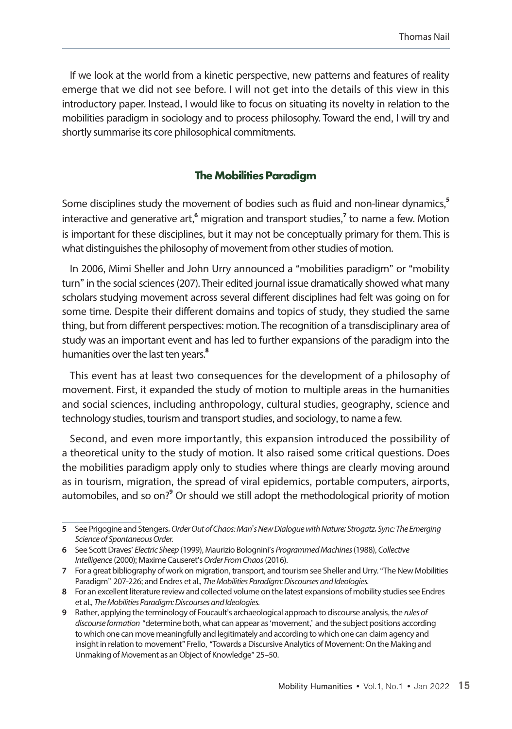If we look at the world from a kinetic perspective, new patterns and features of reality emerge that we did not see before. I will not get into the details of this view in this introductory paper. Instead, I would like to focus on situating its novelty in relation to the mobilities paradigm in sociology and to process philosophy. Toward the end, I will try and shortly summarise its core philosophical commitments.

### **The Mobilities Paradigm**

Some disciplines study the movement of bodies such as fluid and non-linear dynamics, **5** interactive and generative art,<sup>6</sup> migration and transport studies,<sup>7</sup> to name a few. Motion is important for these disciplines, but it may not be conceptually primary for them. This is what distinguishes the philosophy of movement from other studies of motion.

In 2006, Mimi Sheller and John Urry announced a "mobilities paradigm" or "mobility turn" in the social sciences (207). Their edited journal issue dramatically showed what many scholars studying movement across several different disciplines had felt was going on for some time. Despite their different domains and topics of study, they studied the same thing, but from different perspectives: motion. The recognition of a transdisciplinary area of study was an important event and has led to further expansions of the paradigm into the humanities over the last ten years.**<sup>8</sup>**

This event has at least two consequences for the development of a philosophy of movement. First, it expanded the study of motion to multiple areas in the humanities and social sciences, including anthropology, cultural studies, geography, science and technology studies, tourism and transport studies, and sociology, to name a few.

Second, and even more importantly, this expansion introduced the possibility of a theoretical unity to the study of motion. It also raised some critical questions. Does the mobilities paradigm apply only to studies where things are clearly moving around as in tourism, migration, the spread of viral epidemics, portable computers, airports, automobiles, and so on?<sup>9</sup> Or should we still adopt the methodological priority of motion

**<sup>5</sup>** See Prigogine and Stengers,*Order Out of Chaos: Man*'*s New Dialogue with Nature; Strogatz*, *Sync: The Emerging Science of Spontaneous Order.*

**<sup>6</sup>** See Scott Draves' *Electric Sheep* (1999), Maurizio Bolognini's *Programmed Machines* (1988), *Collective Intelligence* (2000); Maxime Causeret's *Order From Chaos* (2016).

**<sup>7</sup>** For a great bibliography of work on migration, transport, and tourism see Sheller and Urry. "The New Mobilities Paradigm" 207-226; and Endres et al., *The Mobilities Paradigm: Discourses and Ideologies.*

**<sup>8</sup>** For an excellent literature review and collected volume on the latest expansions of mobility studies see Endres et al., *The Mobilities Paradigm: Discourses and Ideologies.*

**<sup>9</sup>** Rather, applying the terminology of Foucault's archaeological approach to discourse analysis, the *rules of discourse formation* "determine both, what can appear as 'movement,' and the subject positions according to which one can move meaningfully and legitimately and according to which one can claim agency and insight in relation to movement" Frello, "Towards a Discursive Analytics of Movement: On the Making and Unmaking of Movement as an Object of Knowledge" 25–50.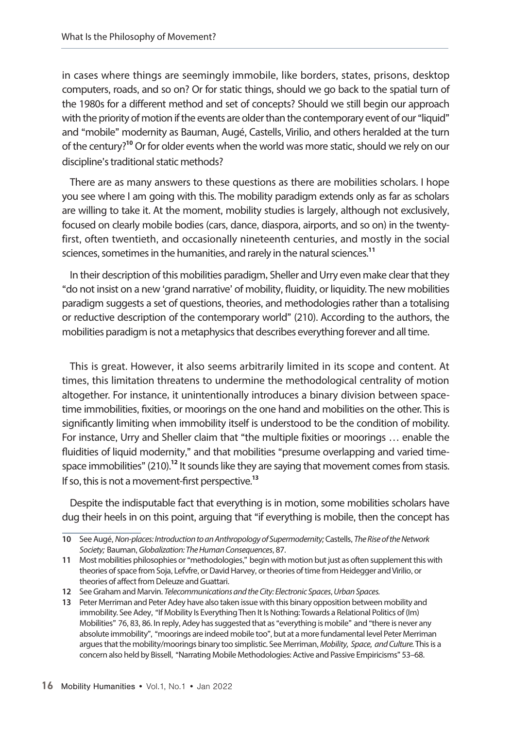in cases where things are seemingly immobile, like borders, states, prisons, desktop computers, roads, and so on? Or for static things, should we go back to the spatial turn of the 1980s for a different method and set of concepts? Should we still begin our approach with the priority of motion if the events are older than the contemporary event of our "liquid" and "mobile" modernity as Bauman, Augé, Castells, Virilio, and others heralded at the turn of the century?**<sup>10</sup>** Or for older events when the world was more static, should we rely on our discipline's traditional static methods?

There are as many answers to these questions as there are mobilities scholars. I hope you see where I am going with this. The mobility paradigm extends only as far as scholars are willing to take it. At the moment, mobility studies is largely, although not exclusively, focused on clearly mobile bodies (cars, dance, diaspora, airports, and so on) in the twentyfirst, often twentieth, and occasionally nineteenth centuries, and mostly in the social sciences, sometimes in the humanities, and rarely in the natural sciences.**<sup>11</sup>**

In their description of this mobilities paradigm, Sheller and Urry even make clear that they "do not insist on a new 'grand narrative' of mobility, fluidity, or liquidity. The new mobilities paradigm suggests a set of questions, theories, and methodologies rather than a totalising or reductive description of the contemporary world" (210). According to the authors, the mobilities paradigm is not a metaphysics that describes everything forever and all time.

This is great. However, it also seems arbitrarily limited in its scope and content. At times, this limitation threatens to undermine the methodological centrality of motion altogether. For instance, it unintentionally introduces a binary division between spacetime immobilities, fixities, or moorings on the one hand and mobilities on the other. This is significantly limiting when immobility itself is understood to be the condition of mobility. For instance, Urry and Sheller claim that "the multiple fixities or moorings … enable the fluidities of liquid modernity," and that mobilities "presume overlapping and varied timespace immobilities" (210).<sup>12</sup> It sounds like they are saying that movement comes from stasis. If so, this is not a movement-first perspective.**<sup>13</sup>**

Despite the indisputable fact that everything is in motion, some mobilities scholars have dug their heels in on this point, arguing that "if everything is mobile, then the concept has

**<sup>10</sup>** See Augé,*Non-places: Introduction to an Anthropology of Supermodernity;*Castells, *The Rise of the Network Society;* Bauman,*Globalization: The Human Consequences*, 87.

**<sup>11</sup>** Most mobilities philosophies or "methodologies," begin with motion but just as often supplement this with theories of space from Soja, Lefvfre, or David Harvey, or theories of time from Heidegger and Virilio, or theories of affect from Deleuze and Guattari.

**<sup>12</sup>** See Graham and Marvin. *Telecommunications and the City: Electronic Spaces*, *Urban Spaces.*

**<sup>13</sup>** Peter Merriman and Peter Adey have also taken issue with this binary opposition between mobility and immobility. See Adey, "If Mobility Is Everything Then It Is Nothing: Towards a Relational Politics of (Im) Mobilities" 76, 83, 86. In reply, Adey has suggested that as "everything is mobile" and "there is never any absolute immobility", "moorings are indeed mobile too", but at a more fundamental level Peter Merriman argues that the mobility/moorings binary too simplistic. See Merriman,*Mobility, Space, and Culture.* This is a concern also held by Bissell, "Narrating Mobile Methodologies: Active and Passive Empiricisms" 53–68.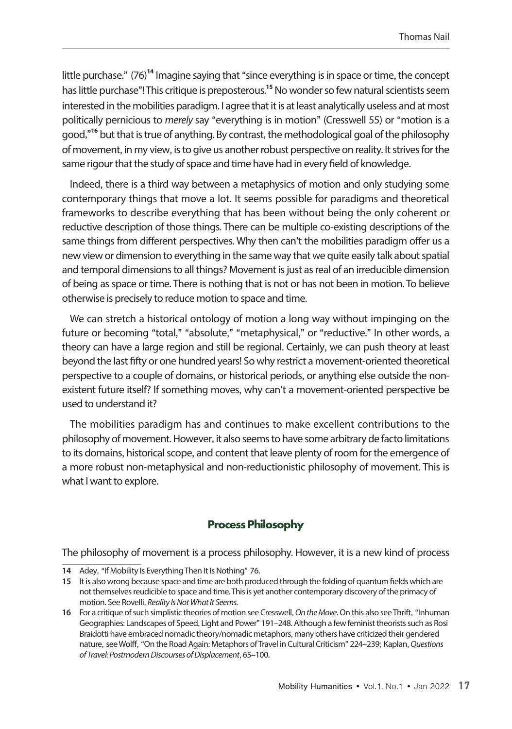little purchase." (76)**<sup>14</sup>** Imagine saying that "since everything is in space or time, the concept has little purchase"! This critique is preposterous.**<sup>15</sup>** No wonder so few natural scientists seem interested in the mobilities paradigm. I agree that it is at least analytically useless and at most politically pernicious to *merely* say "everything is in motion" (Cresswell 55) or "motion is a good,"**<sup>16</sup>** but that is true of anything. By contrast, the methodological goal of the philosophy of movement, in my view, is to give us another robust perspective on reality. It strives for the same rigour that the study of space and time have had in every field of knowledge.

Indeed, there is a third way between a metaphysics of motion and only studying some contemporary things that move a lot. It seems possible for paradigms and theoretical frameworks to describe everything that has been without being the only coherent or reductive description of those things. There can be multiple co-existing descriptions of the same things from different perspectives. Why then can't the mobilities paradigm offer us a new view or dimension to everything in the same way that we quite easily talk about spatial and temporal dimensions to all things? Movement is just as real of an irreducible dimension of being as space or time. There is nothing that is not or has not been in motion. To believe otherwise is precisely to reduce motion to space and time.

We can stretch a historical ontology of motion a long way without impinging on the future or becoming "total," "absolute," "metaphysical," or "reductive." In other words, a theory can have a large region and still be regional. Certainly, we can push theory at least beyond the last fifty or one hundred years! So why restrict a movement-oriented theoretical perspective to a couple of domains, or historical periods, or anything else outside the nonexistent future itself? If something moves, why can't a movement-oriented perspective be used to understand it?

The mobilities paradigm has and continues to make excellent contributions to the philosophy of movement. However, it also seems to have some arbitrary de facto limitations to its domains, historical scope, and content that leave plenty of room for the emergence of a more robust non-metaphysical and non-reductionistic philosophy of movement. This is what I want to explore.

#### **Process Philosophy**

The philosophy of movement is a process philosophy. However, it is a new kind of process

**<sup>14</sup>** Adey, "If Mobility Is Everything Then It Is Nothing" 76.

**<sup>15</sup>** It is also wrong because space and time are both produced through the folding of quantum fields which are not themselves reudicible to space and time. This is yet another contemporary discovery of the primacy of motion. See Rovelli, *Reality Is Not What It Seems.*

**<sup>16</sup>** For a critique of such simplistic theories of motion see Cresswell,*On the Move*. On this also see Thrift, "Inhuman Geographies: Landscapes of Speed, Light and Power" 191–248. Although a few feminist theorists such as Rosi Braidotti have embraced nomadic theory/nomadic metaphors, many others have criticized their gendered nature, see Wolff, "On the Road Again: Metaphors of Travel in Cultural Criticism" 224–239; Kaplan,*Questions of Travel: Postmodern Discourses of Displacement*, 65–100.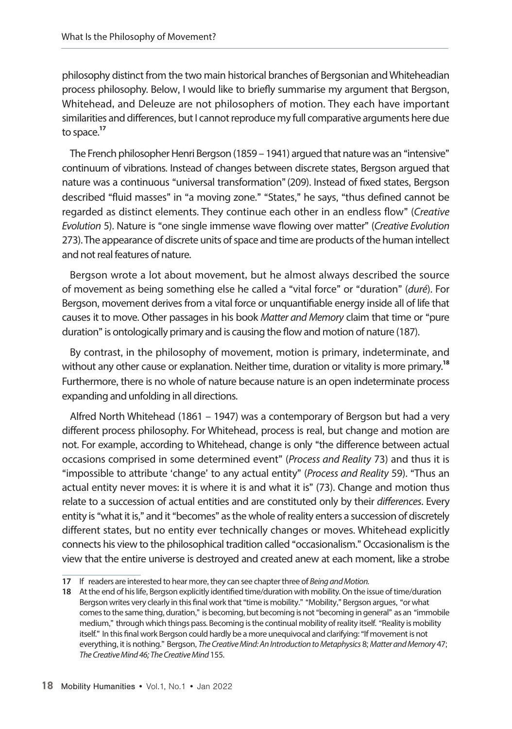philosophy distinct from the two main historical branches of Bergsonian and Whiteheadian process philosophy. Below, I would like to briefly summarise my argument that Bergson, Whitehead, and Deleuze are not philosophers of motion. They each have important similarities and differences, but I cannot reproduce my full comparative arguments here due to space.**<sup>17</sup>**

The French philosopher Henri Bergson (1859 – 1941) argued that nature was an "intensive" continuum of vibrations. Instead of changes between discrete states, Bergson argued that nature was a continuous "universal transformation"(209). Instead of fixed states, Bergson described "fluid masses" in "a moving zone." "States," he says, "thus defined cannot be regarded as distinct elements. They continue each other in an endless flow" (*Creative Evolution* 5). Nature is "one single immense wave flowing over matter" (*Creative Evolution*  273). The appearance of discrete units of space and time are products of the human intellect and not real features of nature.

Bergson wrote a lot about movement, but he almost always described the source of movement as being something else he called a "vital force" or "duration" (*duré*). For Bergson, movement derives from a vital force or unquantifiable energy inside all of life that causes it to move. Other passages in his book *Matter and Memory* claim that time or "pure duration" is ontologically primary and is causing the flow and motion of nature (187).

By contrast, in the philosophy of movement, motion is primary, indeterminate, and without any other cause or explanation. Neither time, duration or vitality is more primary.**<sup>18</sup>** Furthermore, there is no whole of nature because nature is an open indeterminate process expanding and unfolding in all directions.

Alfred North Whitehead (1861 – 1947) was a contemporary of Bergson but had a very different process philosophy. For Whitehead, process is real, but change and motion are not. For example, according to Whitehead, change is only "the difference between actual occasions comprised in some determined event" (*Process and Reality* 73) and thus it is "impossible to attribute 'change' to any actual entity" (*Process and Reality* 59). "Thus an actual entity never moves: it is where it is and what it is" (73). Change and motion thus relate to a succession of actual entities and are constituted only by their *differences*. Every entity is "what it is," and it "becomes" as the whole of reality enters a succession of discretely different states, but no entity ever technically changes or moves. Whitehead explicitly connects his view to the philosophical tradition called "occasionalism." Occasionalism is the view that the entire universe is destroyed and created anew at each moment, like a strobe

**<sup>17</sup>** If readers are interested to hear more, they can see chapter three of *Being and Motion.*

**<sup>18</sup>** At the end of his life, Bergson explicitly identified time/duration with mobility. On the issue of time/duration Bergson writes very clearly in this final work that "time is mobility." "Mobility," Bergson argues, "or what comes to the same thing, duration," is becoming, but becoming is not "becoming in general" as an "immobile medium," through which things pass. Becoming is the continual mobility of reality itself. "Reality is mobility itself." In this final work Bergson could hardly be a more unequivocal and clarifying: "If movement is not everything, it is nothing." Bergson, *The Creative Mind: An Introduction to Metaphysics* 8;*Matter and Memory* 47; *The Creative Mind 46; The Creative Mind* 155.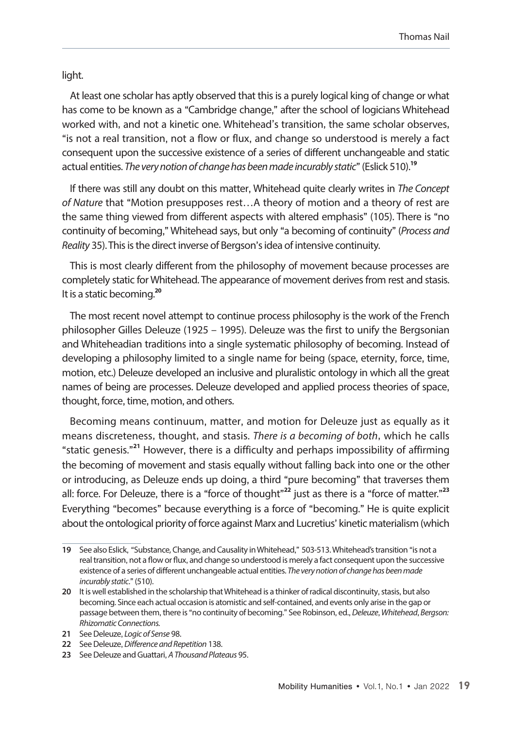light.

At least one scholar has aptly observed that this is a purely logical king of change or what has come to be known as a "Cambridge change," after the school of logicians Whitehead worked with, and not a kinetic one. Whitehead's transition, the same scholar observes, "is not a real transition, not a flow or flux, and change so understood is merely a fact consequent upon the successive existence of a series of different unchangeable and static actual entities. *The very notion of change has been made incurably static*" (Eslick 510).**<sup>19</sup>**

If there was still any doubt on this matter, Whitehead quite clearly writes in *The Concept of Nature* that "Motion presupposes rest…A theory of motion and a theory of rest are the same thing viewed from different aspects with altered emphasis" (105). There is "no continuity of becoming," Whitehead says, but only "a becoming of continuity" (*Process and Reality* 35). This is the direct inverse of Bergson's idea of intensive continuity.

This is most clearly different from the philosophy of movement because processes are completely static for Whitehead. The appearance of movement derives from rest and stasis. It is a static becoming.**<sup>20</sup>**

The most recent novel attempt to continue process philosophy is the work of the French philosopher Gilles Deleuze (1925 – 1995). Deleuze was the first to unify the Bergsonian and Whiteheadian traditions into a single systematic philosophy of becoming. Instead of developing a philosophy limited to a single name for being (space, eternity, force, time, motion, etc.) Deleuze developed an inclusive and pluralistic ontology in which all the great names of being are processes. Deleuze developed and applied process theories of space, thought, force, time, motion, and others.

Becoming means continuum, matter, and motion for Deleuze just as equally as it means discreteness, thought, and stasis. *There is a becoming of both*, which he calls "static genesis." **<sup>21</sup>** However, there is a difficulty and perhaps impossibility of affirming the becoming of movement and stasis equally without falling back into one or the other or introducing, as Deleuze ends up doing, a third "pure becoming" that traverses them all: force. For Deleuze, there is a "force of thought" **<sup>22</sup>** just as there is a "force of matter." **23**  Everything "becomes" because everything is a force of "becoming." He is quite explicit about the ontological priority of force against Marx and Lucretius' kinetic materialism (which

**<sup>19</sup>** See also Eslick, "Substance, Change, and Causality in Whitehead," 503-513. Whitehead's transition "is not a real transition, not a flow or flux, and change so understood is merely a fact consequent upon the successive existence of a series of different unchangeable actual entities. *The very notion of change has been made incurably static*." (510).

**<sup>20</sup>** It is well established in the scholarship that Whitehead is a thinker of radical discontinuity, stasis, but also becoming. Since each actual occasion is atomistic and self-contained, and events only arise in the gap or passage between them, there is "no continuity of becoming." See Robinson, ed.,*Deleuze*, *Whitehead*, *Bergson: Rhizomatic Connections.* 

**<sup>21</sup>** See Deleuze, *Logic of Sense* 98.

**<sup>22</sup>** See Deleuze,*Difference and Repetition* 138.

**<sup>23</sup>** See Deleuze and Guattari, *A Thousand Plateaus* 95.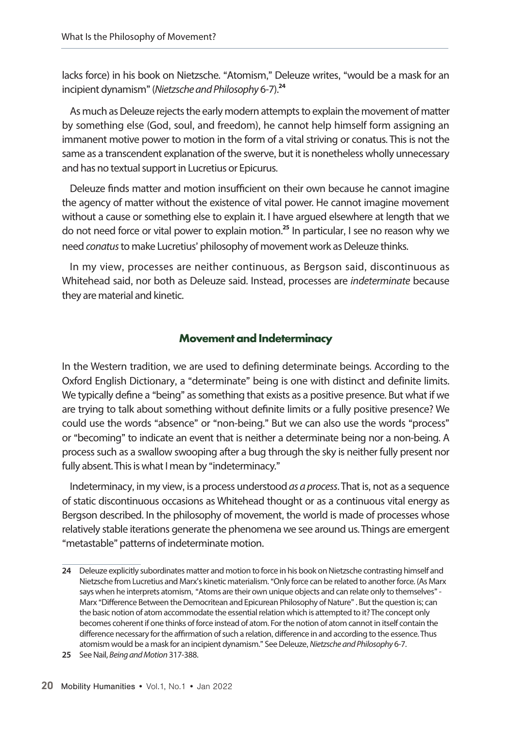lacks force) in his book on Nietzsche. "Atomism," Deleuze writes, "would be a mask for an incipient dynamism" (*Nietzsche and Philosophy* 6-7).**<sup>24</sup>**

As much as Deleuze rejects the early modern attempts to explain the movement of matter by something else (God, soul, and freedom), he cannot help himself form assigning an immanent motive power to motion in the form of a vital striving or conatus. This is not the same as a transcendent explanation of the swerve, but it is nonetheless wholly unnecessary and has no textual support in Lucretius or Epicurus.

Deleuze finds matter and motion insufficient on their own because he cannot imagine the agency of matter without the existence of vital power. He cannot imagine movement without a cause or something else to explain it. I have argued elsewhere at length that we do not need force or vital power to explain motion.**<sup>25</sup>** In particular, I see no reason why we need *conatus* to make Lucretius' philosophy of movement work as Deleuze thinks.

In my view, processes are neither continuous, as Bergson said, discontinuous as Whitehead said, nor both as Deleuze said. Instead, processes are *indeterminate* because they are material and kinetic.

#### **Movement and Indeterminacy**

In the Western tradition, we are used to defining determinate beings. According to the Oxford English Dictionary, a "determinate" being is one with distinct and definite limits. We typically define a "being" as something that exists as a positive presence. But what if we are trying to talk about something without definite limits or a fully positive presence? We could use the words "absence" or "non-being." But we can also use the words "process" or "becoming" to indicate an event that is neither a determinate being nor a non-being. A process such as a swallow swooping after a bug through the sky is neither fully present nor fully absent. This is what I mean by "indeterminacy."

Indeterminacy, in my view, is a process understood *as a process*. That is, not as a sequence of static discontinuous occasions as Whitehead thought or as a continuous vital energy as Bergson described. In the philosophy of movement, the world is made of processes whose relatively stable iterations generate the phenomena we see around us. Things are emergent "metastable" patterns of indeterminate motion.

**<sup>24</sup>** Deleuze explicitly subordinates matter and motion to force in his book on Nietzsche contrasting himself and Nietzsche from Lucretius and Marx's kinetic materialism. "Only force can be related to another force. (As Marx says when he interprets atomism, "Atoms are their own unique objects and can relate only to themselves" - Marx "Difference Between the Democritean and Epicurean Philosophy of Nature" . But the question is; can the basic notion of atom accommodate the essential relation which is attempted to it? The concept only becomes coherent if one thinks of force instead of atom. For the notion of atom cannot in itself contain the difference necessary for the affirmation of such a relation, difference in and according to the essence. Thus atomism would be a mask for an incipient dynamism." See Deleuze,*Nietzsche and Philosophy* 6-7.

**<sup>25</sup>** See Nail, *Being and Motion* 317-388.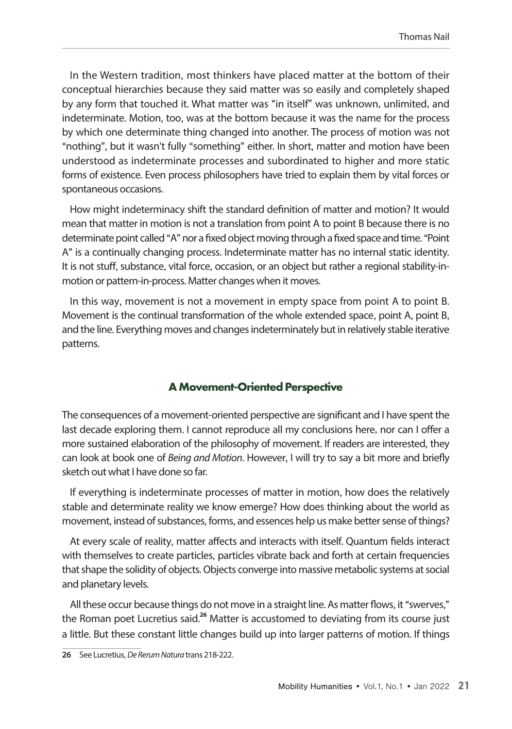In the Western tradition, most thinkers have placed matter at the bottom of their conceptual hierarchies because they said matter was so easily and completely shaped by any form that touched it. What matter was "in itself" was unknown, unlimited, and indeterminate. Motion, too, was at the bottom because it was the name for the process by which one determinate thing changed into another. The process of motion was not "nothing", but it wasn't fully "something" either. In short, matter and motion have been understood as indeterminate processes and subordinated to higher and more static forms of existence. Even process philosophers have tried to explain them by vital forces or spontaneous occasions.

How might indeterminacy shift the standard definition of matter and motion? It would mean that matter in motion is not a translation from point A to point B because there is no determinate point called "A" nor a fixed object moving through a fixed space and time. "Point A" is a continually changing process. Indeterminate matter has no internal static identity. It is not stuff, substance, vital force, occasion, or an object but rather a regional stability-inmotion or pattern-in-process. Matter changes when it moves.

In this way, movement is not a movement in empty space from point A to point B. Movement is the continual transformation of the whole extended space, point A, point B, and the line. Everything moves and changes indeterminately but in relatively stable iterative patterns.

### **A Movement-Oriented Perspective**

The consequences of a movement-oriented perspective are significant and I have spent the last decade exploring them. I cannot reproduce all my conclusions here, nor can I offer a more sustained elaboration of the philosophy of movement. If readers are interested, they can look at book one of *Being and Motion*. However, I will try to say a bit more and briefly sketch out what I have done so far.

If everything is indeterminate processes of matter in motion, how does the relatively stable and determinate reality we know emerge? How does thinking about the world as movement, instead of substances, forms, and essences help us make better sense of things?

At every scale of reality, matter affects and interacts with itself. Quantum fields interact with themselves to create particles, particles vibrate back and forth at certain frequencies that shape the solidity of objects. Objects converge into massive metabolic systems at social and planetary levels.

All these occur because things do not move in a straight line. As matter flows, it "swerves," the Roman poet Lucretius said.**<sup>26</sup>** Matter is accustomed to deviating from its course just a little. But these constant little changes build up into larger patterns of motion. If things

**26** See Lucretius,*De Rerum Natura* trans 218-222.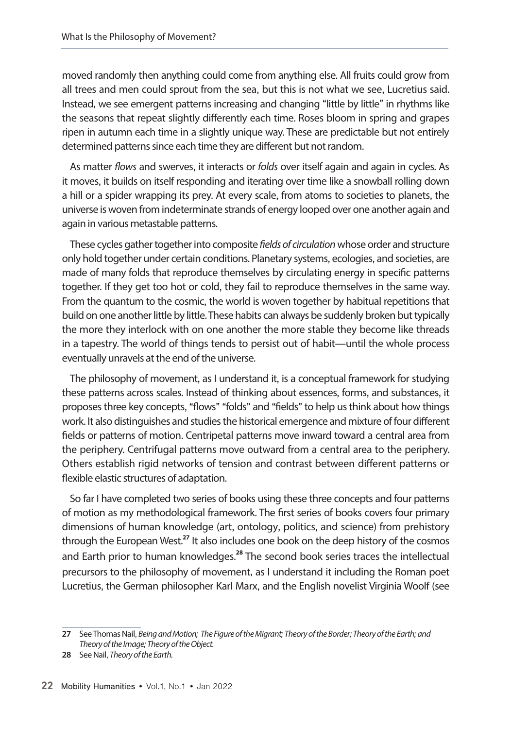moved randomly then anything could come from anything else. All fruits could grow from all trees and men could sprout from the sea, but this is not what we see, Lucretius said. Instead, we see emergent patterns increasing and changing "little by little" in rhythms like the seasons that repeat slightly differently each time. Roses bloom in spring and grapes ripen in autumn each time in a slightly unique way. These are predictable but not entirely determined patterns since each time they are different but not random.

As matter *flows* and swerves, it interacts or *folds* over itself again and again in cycles. As it moves, it builds on itself responding and iterating over time like a snowball rolling down a hill or a spider wrapping its prey. At every scale, from atoms to societies to planets, the universe is woven from indeterminate strands of energy looped over one another again and again in various metastable patterns.

These cycles gather together into composite *fields of circulation* whose order and structure only hold together under certain conditions. Planetary systems, ecologies, and societies, are made of many folds that reproduce themselves by circulating energy in specific patterns together. If they get too hot or cold, they fail to reproduce themselves in the same way. From the quantum to the cosmic, the world is woven together by habitual repetitions that build on one another little by little. These habits can always be suddenly broken but typically the more they interlock with on one another the more stable they become like threads in a tapestry. The world of things tends to persist out of habit—until the whole process eventually unravels at the end of the universe.

The philosophy of movement, as I understand it, is a conceptual framework for studying these patterns across scales. Instead of thinking about essences, forms, and substances, it proposes three key concepts, "flows" "folds" and "fields" to help us think about how things work. It also distinguishes and studies the historical emergence and mixture of four different fields or patterns of motion. Centripetal patterns move inward toward a central area from the periphery. Centrifugal patterns move outward from a central area to the periphery. Others establish rigid networks of tension and contrast between different patterns or flexible elastic structures of adaptation.

So far I have completed two series of books using these three concepts and four patterns of motion as my methodological framework. The first series of books covers four primary dimensions of human knowledge (art, ontology, politics, and science) from prehistory through the European West.**<sup>27</sup>** It also includes one book on the deep history of the cosmos and Earth prior to human knowledges.**<sup>28</sup>** The second book series traces the intellectual precursors to the philosophy of movement, as I understand it including the Roman poet Lucretius, the German philosopher Karl Marx, and the English novelist Virginia Woolf (see

**<sup>27</sup>** See Thomas Nail, *Being and Motion; The Figure of the Migrant; Theory of the Border; Theory of the Earth; and Theory of the Image; Theory of the Object.*

**<sup>28</sup>** See Nail, *Theory of the Earth.*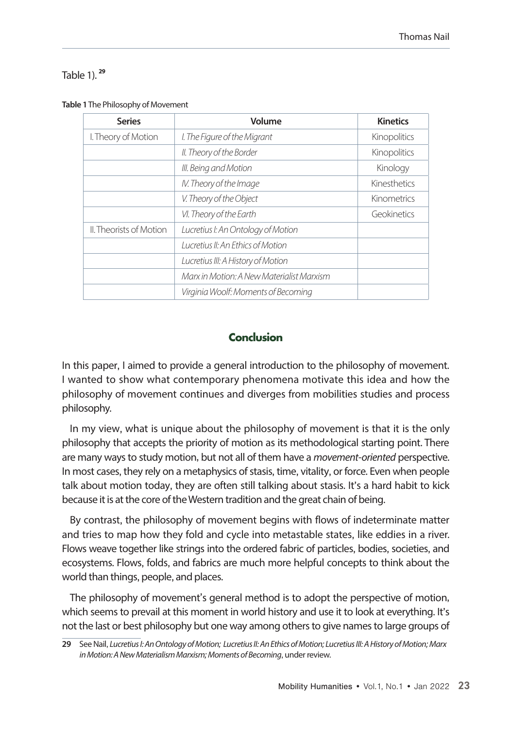#### Table 1). **<sup>29</sup>**

| <b>Series</b>                  | Volume                                    | <b>Kinetics</b> |
|--------------------------------|-------------------------------------------|-----------------|
| I. Theory of Motion            | I. The Figure of the Migrant              | Kinopolitics    |
|                                | II. Theory of the Border                  | Kinopolitics    |
|                                | III. Being and Motion                     | Kinology        |
|                                | IV. Theory of the Image                   | Kinesthetics    |
|                                | V. Theory of the Object                   | Kinometrics     |
|                                | VI. Theory of the Earth                   | Geokinetics     |
| <b>II. Theorists of Motion</b> | Lucretius I: An Ontology of Motion        |                 |
|                                | Lucretius II: An Ethics of Motion         |                 |
|                                | Lucretius III: A History of Motion        |                 |
|                                | Marx in Motion: A New Materialist Marxism |                 |
|                                | Virginia Woolf: Moments of Becoming       |                 |

#### **Table 1** The Philosophy of Movement

### **Conclusion**

In this paper, I aimed to provide a general introduction to the philosophy of movement. I wanted to show what contemporary phenomena motivate this idea and how the philosophy of movement continues and diverges from mobilities studies and process philosophy.

In my view, what is unique about the philosophy of movement is that it is the only philosophy that accepts the priority of motion as its methodological starting point. There are many ways to study motion, but not all of them have a *movement-oriented* perspective. In most cases, they rely on a metaphysics of stasis, time, vitality, or force. Even when people talk about motion today, they are often still talking about stasis. It's a hard habit to kick because it is at the core of the Western tradition and the great chain of being.

By contrast, the philosophy of movement begins with flows of indeterminate matter and tries to map how they fold and cycle into metastable states, like eddies in a river. Flows weave together like strings into the ordered fabric of particles, bodies, societies, and ecosystems. Flows, folds, and fabrics are much more helpful concepts to think about the world than things, people, and places.

The philosophy of movement's general method is to adopt the perspective of motion, which seems to prevail at this moment in world history and use it to look at everything. It's not the last or best philosophy but one way among others to give names to large groups of

**<sup>29</sup>** See Nail, *Lucretius I: An Ontology of Motion; Lucretius II: An Ethics of Motion; Lucretius III: A History of Motion; Marx in Motion: A New Materialism Marxism; Moments of Becoming*, under review.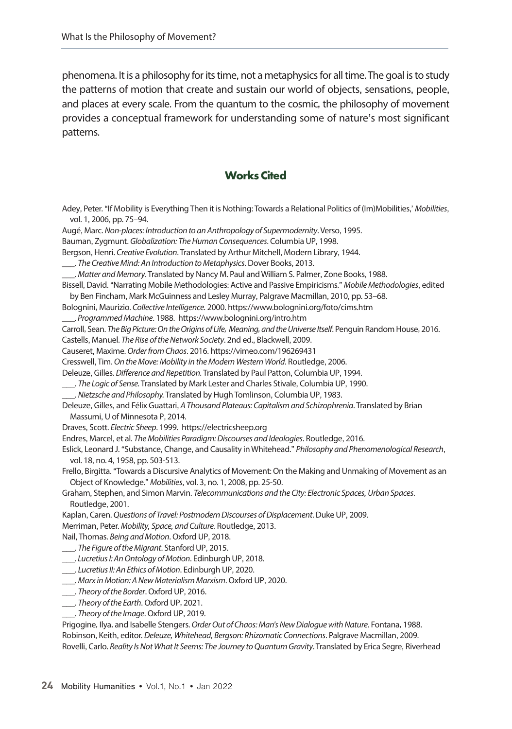phenomena. It is a philosophy for its time, not a metaphysics for all time. The goal is to study the patterns of motion that create and sustain our world of objects, sensations, people, and places at every scale. From the quantum to the cosmic, the philosophy of movement provides a conceptual framework for understanding some of nature's most significant patterns.

### **Works Cited**

| Adey, Peter. "If Mobility is Everything Then it is Nothing: Towards a Relational Politics of (Im)Mobilities,' Mobilities, |
|---------------------------------------------------------------------------------------------------------------------------|
| vol. 1, 2006, pp. 75-94.                                                                                                  |
| Augé, Marc. Non-places: Introduction to an Anthropology of Supermodernity. Verso, 1995.                                   |
| Bauman, Zygmunt. Globalization: The Human Consequences. Columbia UP, 1998.                                                |
| Bergson, Henri. Creative Evolution. Translated by Arthur Mitchell, Modern Library, 1944.                                  |
| ____. The Creative Mind: An Introduction to Metaphysics. Dover Books, 2013.                                               |
| ____. Matter and Memory. Translated by Nancy M. Paul and William S. Palmer, Zone Books, 1988.                             |
| Bissell, David. "Narrating Mobile Methodologies: Active and Passive Empiricisms." Mobile Methodologies, edited            |
| by Ben Fincham, Mark McGuinness and Lesley Murray, Palgrave Macmillan, 2010, pp. 53-68.                                   |
| Bolognini, Maurizio. Collective Intelligence. 2000. https://www.bolognini.org/foto/cims.htm                               |
| Programmed Machine. 1988. https://www.bolognini.org/intro.htm                                                             |
| Carroll, Sean. The Big Picture: On the Origins of Life, Meaning, and the Universe Itself. Penguin Random House, 2016.     |
| Castells, Manuel. The Rise of the Network Society. 2nd ed., Blackwell, 2009.                                              |
| Causeret, Maxime. Order from Chaos. 2016. https://vimeo.com/196269431                                                     |
| Cresswell, Tim. On the Move: Mobility in the Modern Western World. Routledge, 2006.                                       |
| Deleuze, Gilles. Difference and Repetition. Translated by Paul Patton, Columbia UP, 1994.                                 |
| The Logic of Sense. Translated by Mark Lester and Charles Stivale, Columbia UP, 1990.                                     |
| ___. Nietzsche and Philosophy. Translated by Hugh Tomlinson, Columbia UP, 1983.                                           |
| Deleuze, Gilles, and Félix Guattari, A Thousand Plateaus: Capitalism and Schizophrenia. Translated by Brian               |
| Massumi, U of Minnesota P, 2014.                                                                                          |
| Draves, Scott. Electric Sheep. 1999. https://electricsheep.org                                                            |
| Endres, Marcel, et al. The Mobilities Paradigm: Discourses and Ideologies. Routledge, 2016.                               |
| Eslick, Leonard J. "Substance, Change, and Causality in Whitehead." Philosophy and Phenomenological Research,             |
| vol. 18, no. 4, 1958, pp. 503-513.                                                                                        |
| Frello, Birgitta. "Towards a Discursive Analytics of Movement: On the Making and Unmaking of Movement as an               |
| Object of Knowledge." Mobilities, vol. 3, no. 1, 2008, pp. 25-50.                                                         |
| Graham, Stephen, and Simon Marvin. Telecommunications and the City: Electronic Spaces, Urban Spaces.                      |
| Routledge, 2001.                                                                                                          |
| Kaplan, Caren. Questions of Travel: Postmodern Discourses of Displacement. Duke UP, 2009.                                 |
| Merriman, Peter. Mobility, Space, and Culture. Routledge, 2013.                                                           |
| Nail, Thomas. Being and Motion. Oxford UP, 2018.                                                                          |
| . The Figure of the Migrant. Stanford UP, 2015.                                                                           |
| . Lucretius I: An Ontology of Motion. Edinburgh UP, 2018.                                                                 |
| . Lucretius II: An Ethics of Motion. Edinburgh UP, 2020.                                                                  |
| ____. Marx in Motion: A New Materialism Marxism. Oxford UP, 2020.                                                         |
| Theory of the Border. Oxford UP, 2016.                                                                                    |
| Theory of the Earth. Oxford UP, 2021.                                                                                     |
| ____. Theory of the Image. Oxford UP, 2019.                                                                               |
| Prigogine, Ilya, and Isabelle Stengers. Order Out of Chaos: Man's New Dialogue with Nature. Fontana, 1988.                |
| Robinson, Keith, editor. Deleuze, Whitehead, Bergson: Rhizomatic Connections. Palgrave Macmillan, 2009.                   |

Rovelli, Carlo. *Reality Is Not What It Seems: The Journey to Quantum Gravity*. Translated by Erica Segre, Riverhead